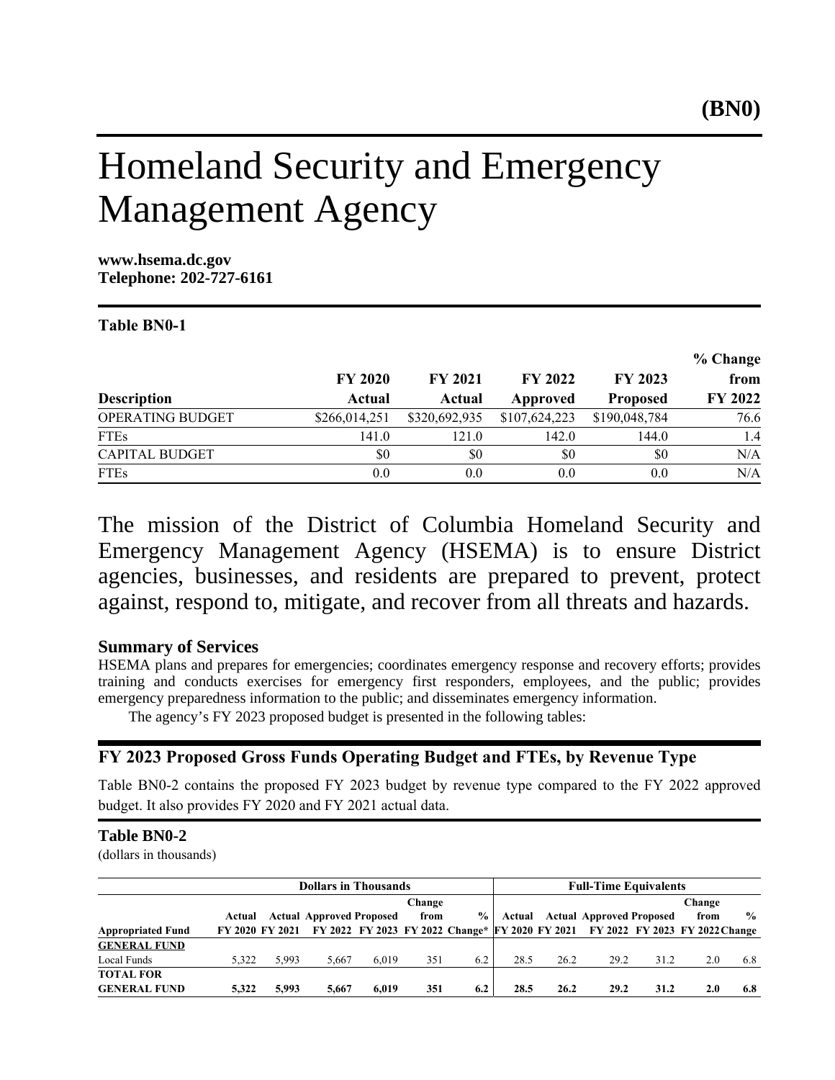# Homeland Security and Emergency Management Agency

**www.hsema.dc.gov Telephone: 202-727-6161**

## Table BN0-1

|                       |                |                |                |                 | % Change       |
|-----------------------|----------------|----------------|----------------|-----------------|----------------|
|                       | <b>FY 2020</b> | <b>FY 2021</b> | <b>FY 2022</b> | FY 2023         | from           |
| <b>Description</b>    | Actual         | Actual         | Approved       | <b>Proposed</b> | <b>FY 2022</b> |
| OPERATING BUDGET      | \$266,014,251  | \$320,692,935  | \$107,624,223  | \$190,048,784   | 76.6           |
| <b>FTEs</b>           | 141.0          | 121.0          | 142.0          | 144.0           | 1.4            |
| <b>CAPITAL BUDGET</b> | \$0            | \$0            | \$0            | \$0             | N/A            |
| <b>FTEs</b>           | 0.0            | 0.0            | 0.0            | 0.0             | N/A            |

The mission of the District of Columbia Homeland Security and Emergency Management Agency (HSEMA) is to ensure District agencies, businesses, and residents are prepared to prevent, protect against, respond to, mitigate, and recover from all threats and hazards.

## **Summary of Services**

HSEMA plans and prepares for emergencies; coordinates emergency response and recovery efforts; provides training and conducts exercises for emergency first responders, employees, and the public; provides emergency preparedness information to the public; and disseminates emergency information.

The agency's FY 2023 proposed budget is presented in the following tables:

## FY 2023 Proposed Gross Funds Operating Budget and FTEs, by Revenue Type

Table BN0-2 contains the proposed FY 2023 budget by revenue type compared to the FY 2022 approved budget. It also provides FY 2020 and FY 2021 actual data.

## **Table BN0-2**

(dollars in thousands)

|                          | <b>Dollars in Thousands</b> |       |                                 |       |        | <b>Full-Time Equivalents</b> |        |      |                                                                                |      |        |               |
|--------------------------|-----------------------------|-------|---------------------------------|-------|--------|------------------------------|--------|------|--------------------------------------------------------------------------------|------|--------|---------------|
|                          |                             |       |                                 |       | Change |                              |        |      |                                                                                |      | Change |               |
|                          | Actual                      |       | <b>Actual Approved Proposed</b> |       | from   | $\frac{6}{9}$                | Actual |      | <b>Actual Approved Proposed</b>                                                |      | from   | $\frac{0}{0}$ |
| <b>Appropriated Fund</b> | FY 2020 FY 2021             |       |                                 |       |        |                              |        |      | FY 2022 FY 2023 FY 2022 Change* FY 2020 FY 2021 FY 2022 FY 2023 FY 2022 Change |      |        |               |
| <b>GENERAL FUND</b>      |                             |       |                                 |       |        |                              |        |      |                                                                                |      |        |               |
| Local Funds              | 5.322                       | 5.993 | 5.667                           | 6.019 | 351    | 6.2                          | 28.5   | 26.2 | 29.2                                                                           | 31.2 | 2.0    | 6.8           |
| <b>TOTAL FOR</b>         |                             |       |                                 |       |        |                              |        |      |                                                                                |      |        |               |
| <b>GENERAL FUND</b>      | 5.322                       | 5.993 | 5.667                           | 6.019 | 351    | 6.2                          | 28.5   | 26.2 | 29.2                                                                           | 31.2 | 2.0    | 6.8           |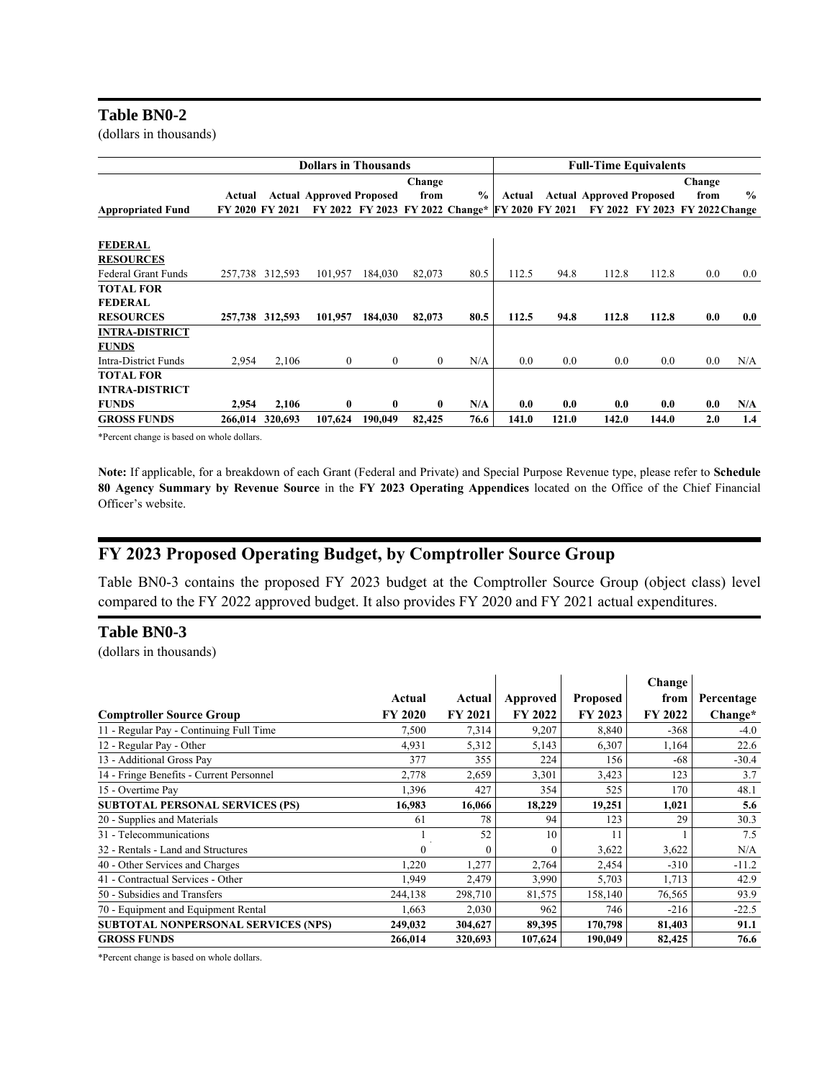#### **Table BN0-2**

(dollars in thousands)

|                                    |                 |         | <b>Dollars in Thousands</b>     |                                                 |              |               |        |       | <b>Full-Time Equivalents</b>    |       |                                |               |
|------------------------------------|-----------------|---------|---------------------------------|-------------------------------------------------|--------------|---------------|--------|-------|---------------------------------|-------|--------------------------------|---------------|
|                                    |                 |         |                                 |                                                 | Change       |               |        |       |                                 |       | Change                         |               |
|                                    | Actual          |         | <b>Actual Approved Proposed</b> |                                                 | from         | $\frac{0}{0}$ | Actual |       | <b>Actual Approved Proposed</b> |       | from                           | $\frac{0}{0}$ |
| <b>Appropriated Fund</b>           | FY 2020 FY 2021 |         |                                 | FY 2022 FY 2023 FY 2022 Change* FY 2020 FY 2021 |              |               |        |       |                                 |       | FY 2022 FY 2023 FY 2022 Change |               |
| <b>FEDERAL</b><br><b>RESOURCES</b> |                 |         |                                 |                                                 |              |               |        |       |                                 |       |                                |               |
| <b>Federal Grant Funds</b>         | 257,738         | 312,593 | 101,957                         | 184,030                                         | 82,073       | 80.5          | 112.5  | 94.8  | 112.8                           | 112.8 | $0.0\,$                        | $0.0\,$       |
| <b>TOTAL FOR</b>                   |                 |         |                                 |                                                 |              |               |        |       |                                 |       |                                |               |
| <b>FEDERAL</b>                     |                 |         |                                 |                                                 |              |               |        |       |                                 |       |                                |               |
| <b>RESOURCES</b>                   | 257,738         | 312,593 | 101.957                         | 184,030                                         | 82,073       | 80.5          | 112.5  | 94.8  | 112.8                           | 112.8 | 0.0                            | 0.0           |
| <b>INTRA-DISTRICT</b>              |                 |         |                                 |                                                 |              |               |        |       |                                 |       |                                |               |
| <b>FUNDS</b>                       |                 |         |                                 |                                                 |              |               |        |       |                                 |       |                                |               |
| Intra-District Funds               | 2,954           | 2,106   | $\mathbf{0}$                    | $\theta$                                        | $\mathbf{0}$ | N/A           | 0.0    | 0.0   | 0.0                             | 0.0   | 0.0                            | N/A           |
| <b>TOTAL FOR</b>                   |                 |         |                                 |                                                 |              |               |        |       |                                 |       |                                |               |
| <b>INTRA-DISTRICT</b>              |                 |         |                                 |                                                 |              |               |        |       |                                 |       |                                |               |
| <b>FUNDS</b>                       | 2,954           | 2,106   | $\bf{0}$                        | $\mathbf{0}$                                    | $\mathbf{0}$ | N/A           | 0.0    | 0.0   | 0.0                             | 0.0   | 0.0                            | N/A           |
| <b>GROSS FUNDS</b>                 | 266,014         | 320.693 | 107.624                         | 190.049                                         | 82,425       | 76.6          | 141.0  | 121.0 | 142.0                           | 144.0 | 2.0                            | 1.4           |

\*Percent change is based on whole dollars.

Note: If applicable, for a breakdown of each Grant (Federal and Private) and Special Purpose Revenue type, please refer to Schedule 80 Agency Summary by Revenue Source in the FY 2023 Operating Appendices located on the Office of the Chief Financial Officer's website.

## FY 2023 Proposed Operating Budget, by Comptroller Source Group

Table BN0-3 contains the proposed FY 2023 budget at the Comptroller Source Group (object class) level compared to the FY 2022 approved budget. It also provides FY 2020 and FY 2021 actual expenditures.

## **Table BN0-3**

(dollars in thousands)

|                                            |                |                |                |                 | Change  |            |
|--------------------------------------------|----------------|----------------|----------------|-----------------|---------|------------|
|                                            | Actual         | Actual         | Approved       | <b>Proposed</b> | from    | Percentage |
| <b>Comptroller Source Group</b>            | <b>FY 2020</b> | <b>FY 2021</b> | <b>FY 2022</b> | FY 2023         | FY 2022 | Change*    |
| 11 - Regular Pay - Continuing Full Time    | 7,500          | 7,314          | 9,207          | 8,840           | $-368$  | $-4.0$     |
| 12 - Regular Pay - Other                   | 4,931          | 5,312          | 5,143          | 6,307           | 1,164   | 22.6       |
| 13 - Additional Gross Pay                  | 377            | 355            | 224            | 156             | $-68$   | $-30.4$    |
| 14 - Fringe Benefits - Current Personnel   | 2,778          | 2,659          | 3,301          | 3,423           | 123     | 3.7        |
| 15 - Overtime Pay                          | 1,396          | 427            | 354            | 525             | 170     | 48.1       |
| <b>SUBTOTAL PERSONAL SERVICES (PS)</b>     | 16,983         | 16,066         | 18,229         | 19,251          | 1,021   | 5.6        |
| 20 - Supplies and Materials                | 61             | 78             | 94             | 123             | 29      | 30.3       |
| 31 - Telecommunications                    |                | 52             | 10             | 11              |         | 7.5        |
| 32 - Rentals - Land and Structures         | $\Omega$       |                |                | 3,622           | 3,622   | N/A        |
| 40 - Other Services and Charges            | 1,220          | 1,277          | 2,764          | 2,454           | $-310$  | $-11.2$    |
| 41 - Contractual Services - Other          | 1,949          | 2,479          | 3,990          | 5,703           | 1,713   | 42.9       |
| 50 - Subsidies and Transfers               | 244,138        | 298,710        | 81,575         | 158,140         | 76,565  | 93.9       |
| 70 - Equipment and Equipment Rental        | 1,663          | 2,030          | 962            | 746             | $-216$  | $-22.5$    |
| <b>SUBTOTAL NONPERSONAL SERVICES (NPS)</b> | 249,032        | 304,627        | 89,395         | 170,798         | 81,403  | 91.1       |
| <b>GROSS FUNDS</b>                         | 266,014        | 320,693        | 107,624        | 190,049         | 82,425  | 76.6       |

\*Percent change is based on whole dollars.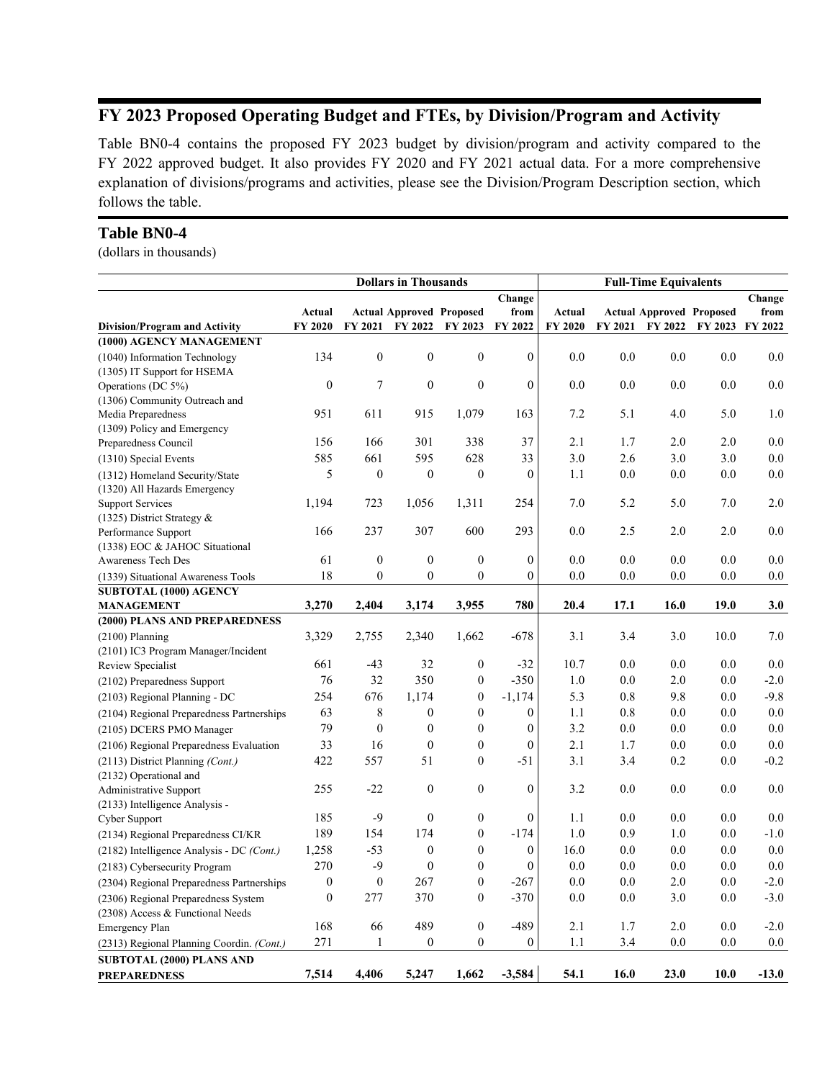## FY 2023 Proposed Operating Budget and FTEs, by Division/Program and Activity

Table BN0-4 contains the proposed FY 2023 budget by division/program and activity compared to the FY 2022 approved budget. It also provides FY 2020 and FY 2021 actual data. For a more comprehensive explanation of divisions/programs and activities, please see the Division/Program Description section, which follows the table.

## **Table BN0-4**

(dollars in thousands)

| Change                                                                                                                                                 |         |
|--------------------------------------------------------------------------------------------------------------------------------------------------------|---------|
|                                                                                                                                                        | Change  |
| <b>Actual Approved Proposed</b><br>from<br>Actual<br><b>Actual Approved Proposed</b><br>Actual                                                         | from    |
| FY 2020<br>FY 2021<br>FY 2022<br>FY 2023<br>FY 2022<br>FY 2020<br>FY 2023 FY 2022<br>FY 2021<br>FY 2022<br><b>Division/Program and Activity</b>        |         |
| (1000) AGENCY MANAGEMENT                                                                                                                               |         |
| $\mathbf{0}$<br>$\boldsymbol{0}$<br>$\mathbf{0}$<br>$\boldsymbol{0}$<br>134<br>0.0<br>0.0<br>0.0<br>0.0<br>(1040) Information Technology               | 0.0     |
| (1305) IT Support for HSEMA                                                                                                                            |         |
| $\boldsymbol{0}$<br>$\boldsymbol{7}$<br>$\boldsymbol{0}$<br>$\boldsymbol{0}$<br>$\boldsymbol{0}$<br>0.0<br>0.0<br>0.0<br>0.0<br>Operations (DC 5%)     | 0.0     |
| (1306) Community Outreach and                                                                                                                          |         |
| 951<br>1,079<br>163<br>7.2<br>5.0<br>611<br>915<br>5.1<br>4.0<br>Media Preparedness                                                                    | 1.0     |
| (1309) Policy and Emergency                                                                                                                            |         |
| 37<br>156<br>166<br>301<br>338<br>2.1<br>1.7<br>2.0<br>2.0<br>Preparedness Council                                                                     | 0.0     |
| 2.6<br>585<br>661<br>595<br>628<br>33<br>3.0<br>3.0<br>3.0<br>(1310) Special Events                                                                    | $0.0\,$ |
| 5<br>$\mathbf{0}$<br>$\mathbf{0}$<br>$\boldsymbol{0}$<br>$\mathbf{0}$<br>1.1<br>0.0<br>0.0<br>0.0<br>(1312) Homeland Security/State                    | 0.0     |
| (1320) All Hazards Emergency                                                                                                                           |         |
| 1,194<br>723<br>1,311<br>254<br>7.0<br>5.2<br>5.0<br>7.0<br>1,056<br><b>Support Services</b>                                                           | 2.0     |
| (1325) District Strategy $&$                                                                                                                           |         |
| 237<br>307<br>600<br>293<br>0.0<br>2.5<br>2.0<br>2.0<br>166<br>Performance Support                                                                     | 0.0     |
| (1338) EOC & JAHOC Situational                                                                                                                         |         |
| 61<br>$\boldsymbol{0}$<br>$\boldsymbol{0}$<br>$\mathbf{0}$<br>$\mathbf{0}$<br>0.0<br>0.0<br>0.0<br>0.0<br>Awareness Tech Des                           | 0.0     |
| 18<br>$\mathbf{0}$<br>$\boldsymbol{0}$<br>$\mathbf{0}$<br>$\mathbf{0}$<br>0.0<br>0.0<br>0.0<br>0.0<br>(1339) Situational Awareness Tools               | 0.0     |
| SUBTOTAL (1000) AGENCY                                                                                                                                 |         |
| 3,270<br>3,955<br>780<br>20.4<br>16.0<br>19.0<br>2,404<br>3,174<br>17.1<br><b>MANAGEMENT</b>                                                           | 3.0     |
| (2000) PLANS AND PREPAREDNESS                                                                                                                          |         |
| 3,329<br>1,662<br>$-678$<br>3.1<br>3.4<br>3.0<br>10.0<br>2,755<br>2,340<br>$(2100)$ Planning                                                           | 7.0     |
| (2101) IC3 Program Manager/Incident                                                                                                                    |         |
| 661<br>$\boldsymbol{0}$<br>$-32$<br>10.7<br>0.0<br>0.0<br>0.0<br>$-43$<br>32<br>Review Specialist                                                      | 0.0     |
| 76<br>32<br>350<br>$-350$<br>1.0<br>0.0<br>0.0<br>$\boldsymbol{0}$<br>2.0<br>(2102) Preparedness Support                                               | $-2.0$  |
| 254<br>$\overline{0}$<br>5.3<br>9.8<br>676<br>1,174<br>$-1,174$<br>0.8<br>0.0<br>(2103) Regional Planning - DC                                         | $-9.8$  |
| 8<br>$\boldsymbol{0}$<br>$\theta$<br>$\boldsymbol{0}$<br>0.8<br>0.0<br>63<br>1.1<br>0.0<br>(2104) Regional Preparedness Partnerships                   | 0.0     |
| 79<br>$\mathbf{0}$<br>$\boldsymbol{0}$<br>$\mathbf{0}$<br>$\boldsymbol{0}$<br>3.2<br>0.0<br>0.0<br>0.0<br>(2105) DCERS PMO Manager                     | 0.0     |
| 33<br>$\boldsymbol{0}$<br>$\overline{0}$<br>$\mathbf{0}$<br>16<br>2.1<br>1.7<br>0.0<br>0.0<br>(2106) Regional Preparedness Evaluation                  | 0.0     |
| $\theta$<br>422<br>557<br>51<br>$-51$<br>3.1<br>3.4<br>0.2<br>0.0<br>(2113) District Planning (Cont.)                                                  | $-0.2$  |
| (2132) Operational and                                                                                                                                 |         |
| $-22$<br>$\mathbf{0}$<br>$\mathbf{0}$<br>$\mathbf{0}$<br>0.0<br>0.0<br>0.0<br>255<br>3.2<br>Administrative Support                                     | 0.0     |
| (2133) Intelligence Analysis -                                                                                                                         |         |
| $-9$<br>185<br>$\boldsymbol{0}$<br>$\overline{0}$<br>$\theta$<br>1.1<br>0.0<br>0.0<br>0.0<br>Cyber Support                                             | 0.0     |
| 189<br>174<br>$\mathbf{0}$<br>$-174$<br>1.0<br>0.9<br>1.0<br>154<br>0.0<br>(2134) Regional Preparedness CI/KR                                          | $-1.0$  |
| $\boldsymbol{0}$<br>$\overline{0}$<br>$\boldsymbol{0}$<br>0.0<br>0.0<br>1,258<br>$-53$<br>16.0<br>0.0<br>(2182) Intelligence Analysis - DC (Cont.)     | 0.0     |
| 270<br>$-9$<br>$\mathbf{0}$<br>$\overline{0}$<br>$\mathbf{0}$<br>0.0<br>0.0<br>$0.0\,$<br>$0.0\,$<br>(2183) Cybersecurity Program                      | 0.0     |
| $\mathbf{0}$<br>$\mathbf{0}$<br>$\mathbf{0}$<br>267<br>0.0<br>0.0<br>2.0<br>0.0<br>$-267$<br>(2304) Regional Preparedness Partnerships                 | $-2.0$  |
| $\boldsymbol{0}$<br>$\boldsymbol{0}$<br>277<br>370<br>$-370$<br>0.0<br>0.0<br>3.0<br>0.0<br>(2306) Regional Preparedness System                        | $-3.0$  |
| (2308) Access & Functional Needs                                                                                                                       |         |
| $\boldsymbol{0}$<br>489<br>$-489$<br>2.0<br>168<br>66<br>2.1<br>1.7<br>0.0<br><b>Emergency Plan</b>                                                    | $-2.0$  |
| $\overline{0}$<br>$\boldsymbol{0}$<br>271<br>$\mathbf{1}$<br>$\boldsymbol{0}$<br>1.1<br>3.4<br>0.0<br>0.0<br>(2313) Regional Planning Coordin. (Cont.) | 0.0     |
| SUBTOTAL (2000) PLANS AND                                                                                                                              |         |
| 7,514<br>1.662<br>$-3.584$<br>4.406<br>5,247<br>54.1<br>16.0<br>23.0<br>10.0<br><b>PREPAREDNESS</b>                                                    | $-13.0$ |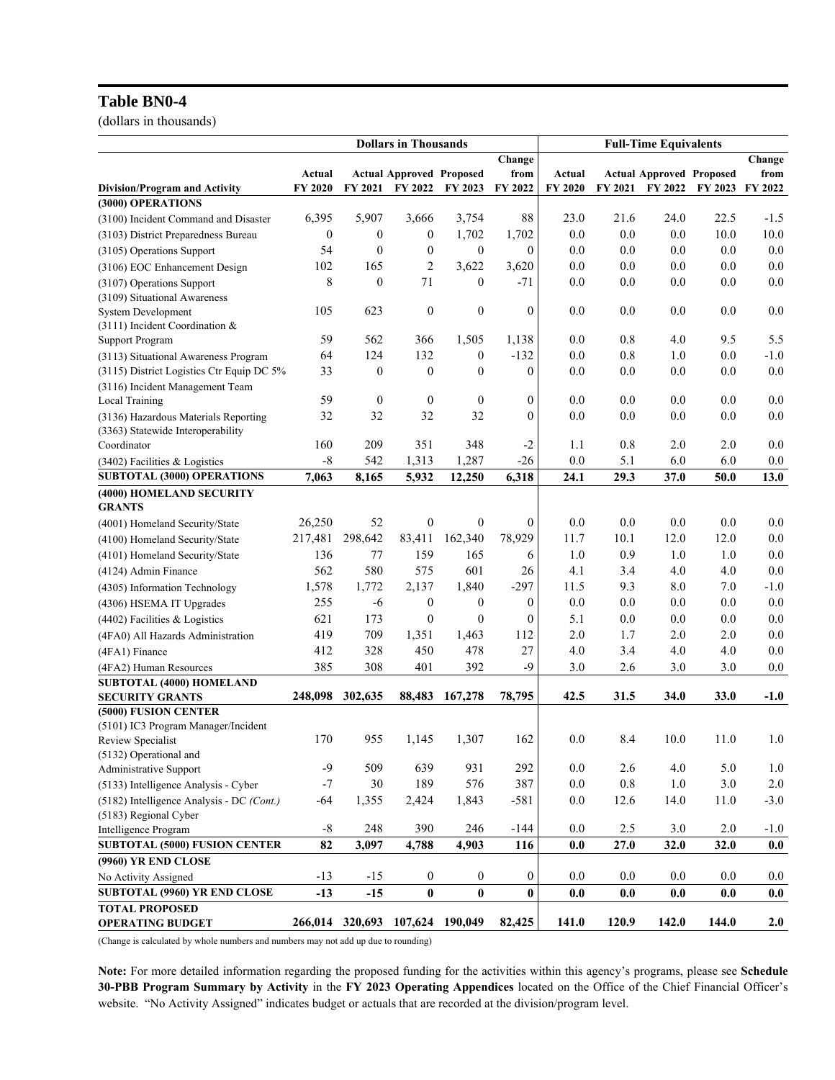## **Table BN0-4**

(dollars in thousands)

|                                           | <b>Dollars in Thousands</b> |                                 |                                 |                  | <b>Full-Time Equivalents</b> |         |         |                                 |         |         |
|-------------------------------------------|-----------------------------|---------------------------------|---------------------------------|------------------|------------------------------|---------|---------|---------------------------------|---------|---------|
|                                           |                             |                                 |                                 |                  | Change                       |         |         |                                 |         | Change  |
|                                           | Actual                      |                                 | <b>Actual Approved Proposed</b> |                  | from                         | Actual  |         | <b>Actual Approved Proposed</b> |         | from    |
| <b>Division/Program and Activity</b>      | FY 2020                     | FY 2021                         | FY 2022                         | FY 2023          | FY 2022                      | FY 2020 | FY 2021 | FY 2022                         | FY 2023 | FY 2022 |
| (3000) OPERATIONS                         |                             |                                 |                                 |                  |                              |         |         |                                 |         |         |
| (3100) Incident Command and Disaster      | 6,395                       | 5,907                           | 3,666                           | 3,754            | 88                           | 23.0    | 21.6    | 24.0                            | 22.5    | $-1.5$  |
| (3103) District Preparedness Bureau       | 0                           | $\boldsymbol{0}$                | $\boldsymbol{0}$                | 1,702            | 1,702                        | 0.0     | 0.0     | 0.0                             | 10.0    | 10.0    |
| (3105) Operations Support                 | 54                          | $\theta$                        | $\boldsymbol{0}$                | $\boldsymbol{0}$ | $\overline{0}$               | 0.0     | 0.0     | 0.0                             | 0.0     | 0.0     |
| (3106) EOC Enhancement Design             | 102                         | 165                             | $\overline{2}$                  | 3,622            | 3,620                        | 0.0     | 0.0     | 0.0                             | 0.0     | 0.0     |
| (3107) Operations Support                 | 8                           | $\boldsymbol{0}$                | 71                              | $\boldsymbol{0}$ | $-71$                        | 0.0     | $0.0\,$ | 0.0                             | 0.0     | 0.0     |
| (3109) Situational Awareness              |                             |                                 |                                 |                  |                              |         |         |                                 |         |         |
| <b>System Development</b>                 | 105                         | 623                             | $\boldsymbol{0}$                | $\boldsymbol{0}$ | $\boldsymbol{0}$             | 0.0     | 0.0     | 0.0                             | 0.0     | 0.0     |
| $(3111)$ Incident Coordination &          |                             |                                 |                                 |                  |                              |         |         |                                 |         |         |
| <b>Support Program</b>                    | 59                          | 562                             | 366                             | 1,505            | 1,138                        | 0.0     | 0.8     | 4.0                             | 9.5     | 5.5     |
| (3113) Situational Awareness Program      | 64                          | 124                             | 132                             | 0                | $-132$                       | 0.0     | $0.8\,$ | 1.0                             | 0.0     | $-1.0$  |
| (3115) District Logistics Ctr Equip DC 5% | 33                          | $\boldsymbol{0}$                | $\boldsymbol{0}$                | $\theta$         | $\mathbf{0}$                 | 0.0     | 0.0     | 0.0                             | 0.0     | 0.0     |
| (3116) Incident Management Team           |                             |                                 |                                 |                  |                              |         |         |                                 |         |         |
| Local Training                            | 59                          | $\mathbf{0}$                    | $\boldsymbol{0}$                | $\mathbf{0}$     | $\boldsymbol{0}$             | 0.0     | 0.0     | 0.0                             | 0.0     | 0.0     |
| (3136) Hazardous Materials Reporting      | 32                          | 32                              | 32                              | 32               | $\theta$                     | 0.0     | 0.0     | 0.0                             | 0.0     | 0.0     |
| (3363) Statewide Interoperability         |                             |                                 |                                 |                  |                              |         |         |                                 |         |         |
| Coordinator                               | 160                         | 209                             | 351                             | 348              | $-2$                         | 1.1     | 0.8     | 2.0                             | 2.0     | 0.0     |
| $(3402)$ Facilities & Logistics           | $-8$                        | 542                             | 1,313                           | 1,287            | $-26$                        | 0.0     | 5.1     | 6.0                             | 6.0     | $0.0\,$ |
| SUBTOTAL (3000) OPERATIONS                | 7,063                       | 8,165                           | 5,932                           | 12,250           | 6,318                        | 24.1    | 29.3    | 37.0                            | 50.0    | 13.0    |
| (4000) HOMELAND SECURITY                  |                             |                                 |                                 |                  |                              |         |         |                                 |         |         |
| <b>GRANTS</b>                             |                             |                                 |                                 |                  |                              |         |         |                                 |         |         |
| (4001) Homeland Security/State            | 26,250                      | 52                              | $\boldsymbol{0}$                | $\boldsymbol{0}$ | $\boldsymbol{0}$             | 0.0     | 0.0     | 0.0                             | 0.0     | 0.0     |
| (4100) Homeland Security/State            | 217,481                     | 298,642                         | 83,411                          | 162,340          | 78,929                       | 11.7    | 10.1    | 12.0                            | 12.0    | 0.0     |
| (4101) Homeland Security/State            | 136                         | 77                              | 159                             | 165              | 6                            | 1.0     | 0.9     | 1.0                             | 1.0     | 0.0     |
| (4124) Admin Finance                      | 562                         | 580                             | 575                             | 601              | 26                           | 4.1     | 3.4     | 4.0                             | 4.0     | 0.0     |
| (4305) Information Technology             | 1,578                       | 1,772                           | 2,137                           | 1,840            | $-297$                       | 11.5    | 9.3     | 8.0                             | 7.0     | $-1.0$  |
| (4306) HSEMA IT Upgrades                  | 255                         | -6                              | $\boldsymbol{0}$                | $\theta$         | $\overline{0}$               | 0.0     | 0.0     | 0.0                             | 0.0     | 0.0     |
| (4402) Facilities & Logistics             | 621                         | 173                             | $\theta$                        | $\mathbf{0}$     | $\theta$                     | 5.1     | 0.0     | 0.0                             | 0.0     | 0.0     |
| (4FA0) All Hazards Administration         | 419                         | 709                             | 1,351                           | 1,463            | 112                          | 2.0     | 1.7     | 2.0                             | 2.0     | 0.0     |
| (4FA1) Finance                            | 412                         | 328                             | 450                             | 478              | 27                           | 4.0     | 3.4     | 4.0                             | 4.0     | 0.0     |
| (4FA2) Human Resources                    | 385                         | 308                             | 401                             | 392              | $-9$                         | 3.0     | 2.6     | 3.0                             | 3.0     | $0.0\,$ |
| SUBTOTAL (4000) HOMELAND                  |                             |                                 |                                 |                  |                              |         |         |                                 |         |         |
| <b>SECURITY GRANTS</b>                    | 248,098                     | 302,635                         | 88,483                          | 167,278          | 78.795                       | 42.5    | 31.5    | 34.0                            | 33.0    | $-1.0$  |
| (5000) FUSION CENTER                      |                             |                                 |                                 |                  |                              |         |         |                                 |         |         |
| (5101) IC3 Program Manager/Incident       |                             |                                 |                                 |                  |                              |         |         |                                 |         |         |
| Review Specialist                         | 170                         | 955                             | 1,145                           | 1,307            | 162                          | 0.0     | 8.4     | 10.0                            | 11.0    | 1.0     |
| (5132) Operational and                    |                             |                                 |                                 |                  |                              |         |         |                                 |         |         |
| Administrative Support                    | -9                          | 509                             | 639                             | 931              | 292                          | 0.0     | 2.6     | 4.0                             | 5.0     | 1.0     |
| (5133) Intelligence Analysis - Cyber      | $-7$                        | $30\,$                          | 189                             | 576              | 387                          | $0.0\,$ | $0.8\,$ | $1.0\,$                         | 3.0     | $2.0\,$ |
| (5182) Intelligence Analysis - DC (Cont.) | $-64$                       | 1,355                           | 2,424                           | 1,843            | $-581$                       | 0.0     | 12.6    | 14.0                            | 11.0    | $-3.0$  |
| (5183) Regional Cyber                     |                             |                                 |                                 |                  |                              |         |         |                                 |         |         |
| Intelligence Program                      | $-8$                        | 248                             | 390                             | 246              | $-144$                       | 0.0     | 2.5     | 3.0                             | $2.0\,$ | $-1.0$  |
| SUBTOTAL (5000) FUSION CENTER             | 82                          | 3,097                           | 4,788                           | 4,903            | 116                          | 0.0     | 27.0    | 32.0                            | 32.0    | 0.0     |
| (9960) YR END CLOSE                       |                             |                                 |                                 |                  |                              |         |         |                                 |         |         |
| No Activity Assigned                      | $-13$                       | $-15$                           | $\bf{0}$                        | $\boldsymbol{0}$ | $\boldsymbol{0}$             | 0.0     | 0.0     | 0.0                             | 0.0     | $0.0\,$ |
| <b>SUBTOTAL (9960) YR END CLOSE</b>       | $-13$                       | $-15$                           | $\bf{0}$                        | $\bf{0}$         | $\bf{0}$                     | 0.0     | 0.0     | 0.0                             | 0.0     | 0.0     |
| <b>TOTAL PROPOSED</b>                     |                             |                                 |                                 |                  |                              |         |         |                                 |         |         |
| <b>OPERATING BUDGET</b>                   |                             | 266,014 320,693 107,624 190,049 |                                 |                  | 82,425                       | 141.0   | 120.9   | 142.0                           | 144.0   | 2.0     |

(Change is calculated by whole numbers and numbers may not add up due to rounding)

Note: For more detailed information regarding the proposed funding for the activities within this agency's programs, please see Schedule 30-PBB Program Summary by Activity in the FY 2023 Operating Appendices located on the Office of the Chief Financial Officer's website. "No Activity Assigned" indicates budget or actuals that are recorded at the division/program level.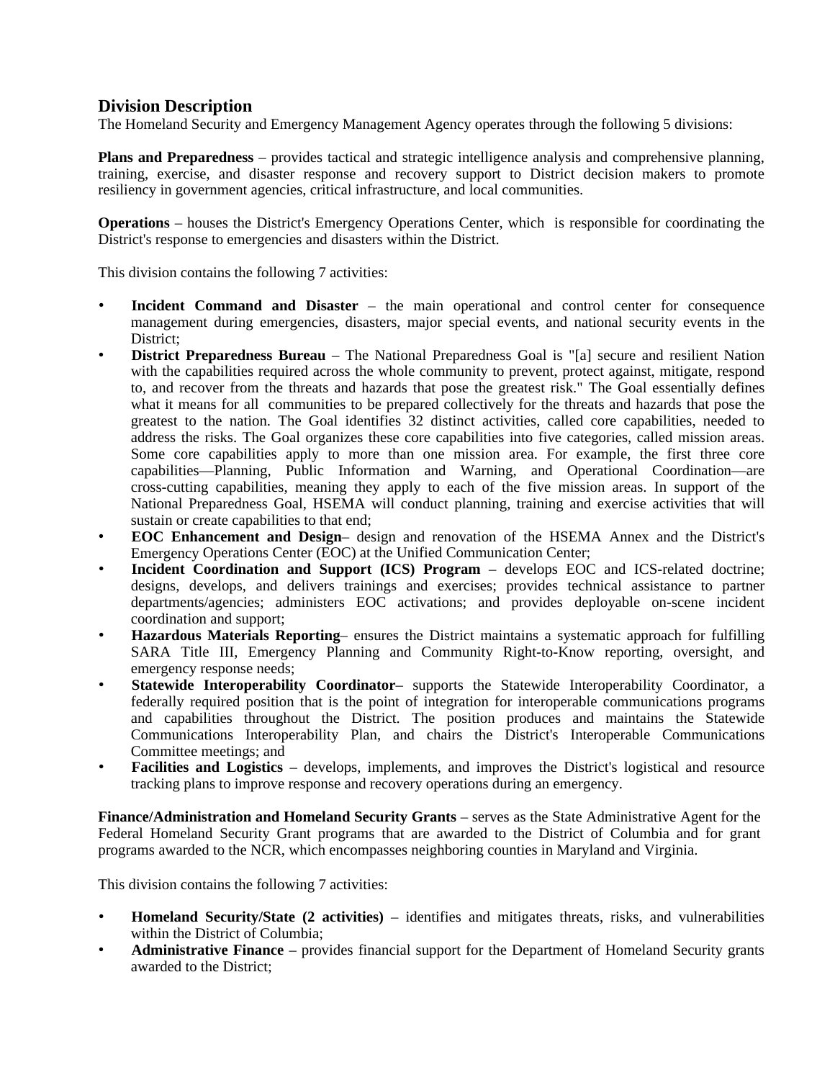## **Division Description**

The Homeland Security and Emergency Management Agency operates through the following 5 divisions:

**Plans and Preparedness** – provides tactical and strategic intelligence analysis and comprehensive planning, training, exercise, and disaster response and recovery support to District decision makers to promote resiliency in government agencies, critical infrastructure, and local communities.

**Operations** – houses the District's Emergency Operations Center, which is responsible for coordinating the District's response to emergencies and disasters within the District.

This division contains the following 7 activities:

- **Incident Command and Disaster** the main operational and control center for consequence management during emergencies, disasters, major special events, and national security events in the District;
- **District Preparedness Bureau** The National Preparedness Goal is "[a] secure and resilient Nation with the capabilities required across the whole community to prevent, protect against, mitigate, respond to, and recover from the threats and hazards that pose the greatest risk." The Goal essentially defines what it means for all communities to be prepared collectively for the threats and hazards that pose the greatest to the nation. The Goal identifies 32 distinct activities, called core capabilities, needed to address the risks. The Goal organizes these core capabilities into five categories, called mission areas. Some core capabilities apply to more than one mission area. For example, the first three core capabilities—Planning, Public Information and Warning, and Operational Coordination—are cross-cutting capabilities, meaning they apply to each of the five mission areas. In support of the National Preparedness Goal, HSEMA will conduct planning, training and exercise activities that will sustain or create capabilities to that end;
- **EOC Enhancement and Design** design and renovation of the HSEMA Annex and the District's Emergency Operations Center (EOC) at the Unified Communication Center;
- **Incident Coordination and Support (ICS) Program** develops EOC and ICS-related doctrine; designs, develops, and delivers trainings and exercises; provides technical assistance to partner departments/agencies; administers EOC activations; and provides deployable on-scene incident coordination and support;
- **Hazardous Materials Reporting** ensures the District maintains a systematic approach for fulfilling SARA Title III, Emergency Planning and Community Right-to-Know reporting, oversight, and emergency response needs;
- **Statewide Interoperability Coordinator** supports the Statewide Interoperability Coordinator, a federally required position that is the point of integration for interoperable communications programs and capabilities throughout the District. The position produces and maintains the Statewide Communications Interoperability Plan, and chairs the District's Interoperable Communications Committee meetings; and
- **Facilities and Logistics** develops, implements, and improves the District's logistical and resource tracking plans to improve response and recovery operations during an emergency.

**Finance/Administration and Homeland Security Grants** – serves as the State Administrative Agent for the Federal Homeland Security Grant programs that are awarded to the District of Columbia and for grant programs awarded to the NCR, which encompasses neighboring counties in Maryland and Virginia.

This division contains the following 7 activities:

- **Homeland Security/State (2 activities)** identifies and mitigates threats, risks, and vulnerabilities within the District of Columbia;
- **Administrative Finance** provides financial support for the Department of Homeland Security grants awarded to the District;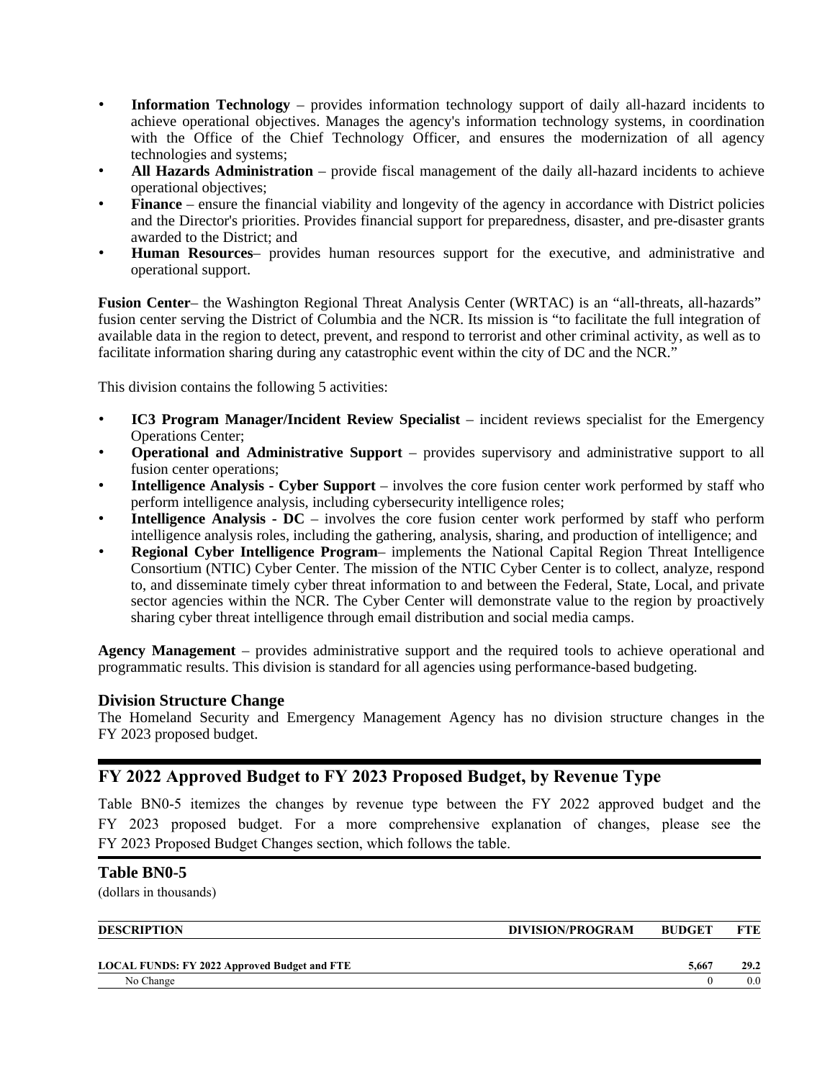- **Information Technology** provides information technology support of daily all-hazard incidents to achieve operational objectives. Manages the agency's information technology systems, in coordination with the Office of the Chief Technology Officer, and ensures the modernization of all agency technologies and systems;
- **All Hazards Administration** provide fiscal management of the daily all-hazard incidents to achieve operational objectives;
- **Finance** ensure the financial viability and longevity of the agency in accordance with District policies and the Director's priorities. Provides financial support for preparedness, disaster, and pre-disaster grants awarded to the District; and
- **Human Resources** provides human resources support for the executive, and administrative and operational support.

**Fusion Center**– the Washington Regional Threat Analysis Center (WRTAC) is an "all-threats, all-hazards" fusion center serving the District of Columbia and the NCR. Its mission is "to facilitate the full integration of available data in the region to detect, prevent, and respond to terrorist and other criminal activity, as well as to facilitate information sharing during any catastrophic event within the city of DC and the NCR."

This division contains the following 5 activities:

- **IC3 Program Manager/Incident Review Specialist** incident reviews specialist for the Emergency Operations Center;
- **Operational and Administrative Support** provides supervisory and administrative support to all fusion center operations;
- **Intelligence Analysis - Cyber Support** involves the core fusion center work performed by staff who perform intelligence analysis, including cybersecurity intelligence roles;
- **Intelligence** Analysis **-** DC involves the core fusion center work performed by staff who perform intelligence analysis roles, including the gathering, analysis, sharing, and production of intelligence; and
- **Regional Cyber Intelligence Program** implements the National Capital Region Threat Intelligence Consortium (NTIC) Cyber Center. The mission of the NTIC Cyber Center is to collect, analyze, respond to, and disseminate timely cyber threat information to and between the Federal, State, Local, and private sector agencies within the NCR. The Cyber Center will demonstrate value to the region by proactively sharing cyber threat intelligence through email distribution and social media camps.

**Agency Management** – provides administrative support and the required tools to achieve operational and programmatic results. This division is standard for all agencies using performance-based budgeting.

## **Division Structure Change**

The Homeland Security and Emergency Management Agency has no division structure changes in the FY 2023 proposed budget.

## FY 2022 Approved Budget to FY 2023 Proposed Budget, by Revenue Type

Table BN0-5 itemizes the changes by revenue type between the FY 2022 approved budget and the FY 2023 proposed budget. For a more comprehensive explanation of changes, please see the FY 2023 Proposed Budget Changes section, which follows the table.

## **Table BN0-5**

(dollars in thousands)

| <b>DESCRIPTION</b>                                  | DIVISION/PROGRAM | <b>BUDGET</b> |      |
|-----------------------------------------------------|------------------|---------------|------|
|                                                     |                  |               |      |
| <b>LOCAL FUNDS: FY 2022 Approved Budget and FTE</b> |                  | 5.667         | 29.2 |
| No Change                                           |                  |               | 0.0  |